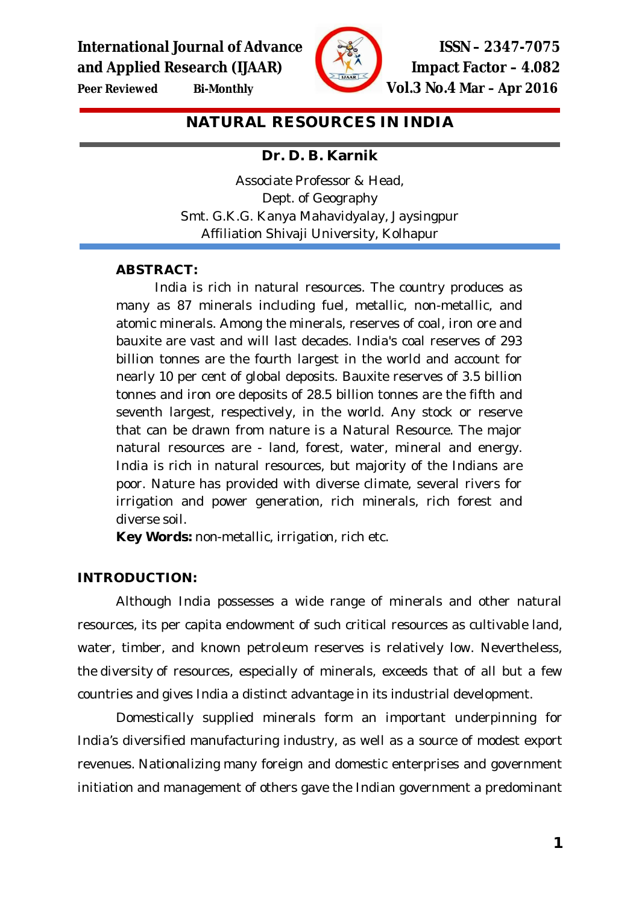**International Journal of Advance ISSN – 2347-7075 and Applied Research (IJAAR) Impact Factor – 4.082**



**Peer Reviewed Bi-Monthly Vol.3 No.4 Mar – Apr 2016**

**NATURAL RESOURCES IN INDIA**

# **Dr. D. B. Karnik**

Associate Professor & Head, Dept. of Geography Smt. G.K.G. Kanya Mahavidyalay, Jaysingpur Affiliation Shivaji University, Kolhapur

# **ABSTRACT:**

India is rich in natural resources. The country produces as many as 87 minerals including fuel, metallic, non-metallic, and atomic minerals. Among the minerals, reserves of coal, iron ore and bauxite are vast and will last decades. India's coal reserves of 293 billion tonnes are the fourth largest in the world and account for nearly 10 per cent of global deposits. Bauxite reserves of 3.5 billion tonnes and iron ore deposits of 28.5 billion tonnes are the fifth and seventh largest, respectively, in the world. Any stock or reserve that can be drawn from nature is a Natural Resource. The major natural resources are - land, forest, water, mineral and energy. India is rich in natural resources, but majority of the Indians are poor. Nature has provided with diverse climate, several rivers for irrigation and power generation, rich minerals, rich forest and diverse soil.

**Key Words:** non-metallic, irrigation, rich etc.

# **INTRODUCTION:**

Although India possesses a wide range of minerals and other natural resources, its per capita endowment of such critical resources as cultivable land, water, timber, and known petroleum reserves is relatively low. Nevertheless, the diversity of resources, especially of minerals, exceeds that of all but a few countries and gives India a distinct advantage in its industrial development.

Domestically supplied minerals form an important underpinning for India's diversified manufacturing industry, as well as a source of modest export revenues. Nationalizing many foreign and domestic enterprises and government initiation and management of others gave the Indian government a predominant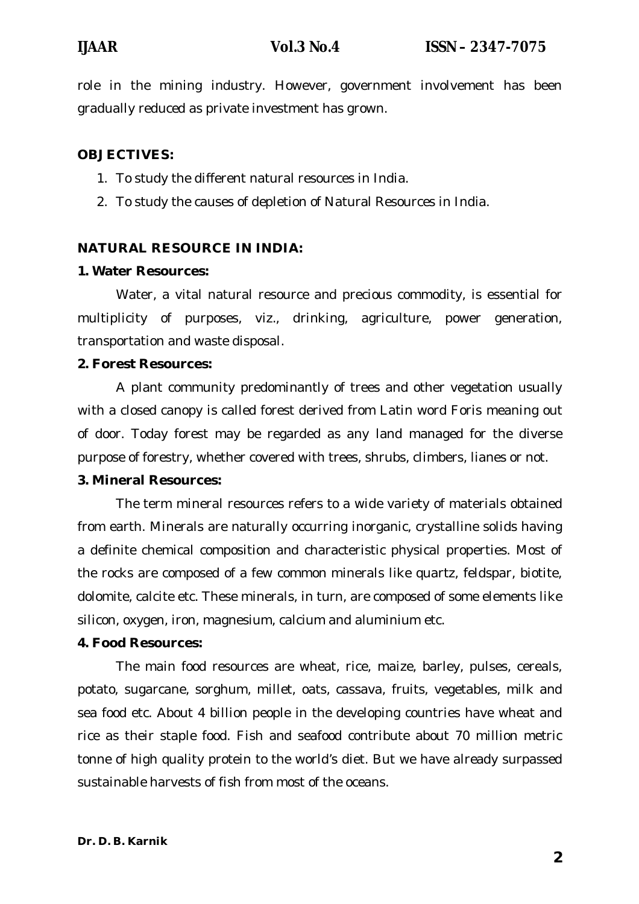role in the mining industry. However, government involvement has been gradually reduced as private investment has grown.

### **OBJECTIVES:**

- 1. To study the different natural resources in India.
- 2. To study the causes of depletion of Natural Resources in India.

# **NATURAL RESOURCE IN INDIA:**

#### **1. Water Resources:**

Water, a vital natural resource and precious commodity, is essential for multiplicity of purposes, viz., drinking, agriculture, power generation, transportation and waste disposal.

#### **2. Forest Resources:**

A plant community predominantly of trees and other vegetation usually with a closed canopy is called forest derived from Latin word Foris meaning out of door. Today forest may be regarded as any land managed for the diverse purpose of forestry, whether covered with trees, shrubs, climbers, lianes or not.

### **3. Mineral Resources:**

The term mineral resources refers to a wide variety of materials obtained from earth. Minerals are naturally occurring inorganic, crystalline solids having a definite chemical composition and characteristic physical properties. Most of the rocks are composed of a few common minerals like quartz, feldspar, biotite, dolomite, calcite etc. These minerals, in turn, are composed of some elements like silicon, oxygen, iron, magnesium, calcium and aluminium etc.

#### **4. Food Resources:**

The main food resources are wheat, rice, maize, barley, pulses, cereals, potato, sugarcane, sorghum, millet, oats, cassava, fruits, vegetables, milk and sea food etc. About 4 billion people in the developing countries have wheat and rice as their staple food. Fish and seafood contribute about 70 million metric tonne of high quality protein to the world's diet. But we have already surpassed sustainable harvests of fish from most of the oceans.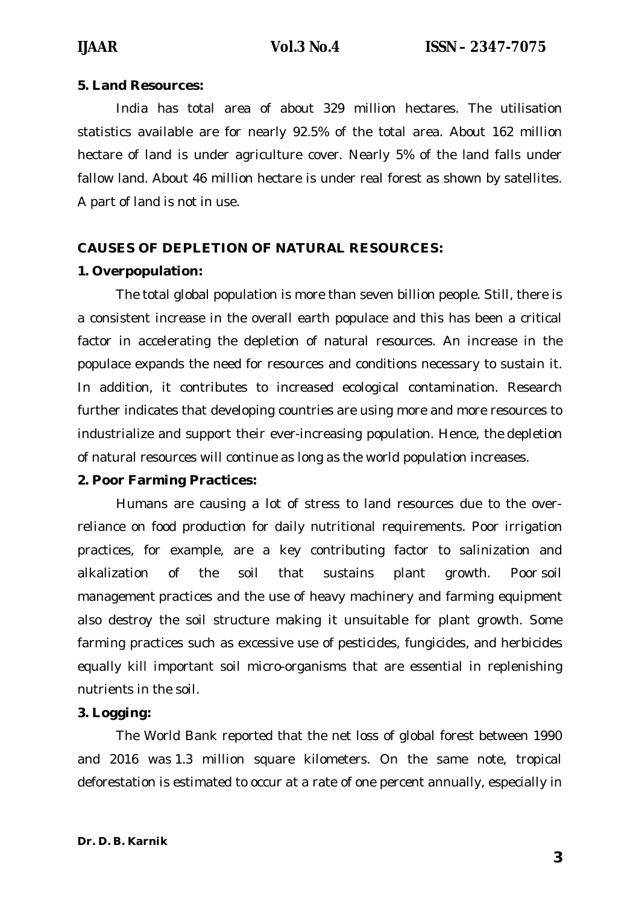#### **5. Land Resources:**

India has total area of about 329 million hectares. The utilisation statistics available are for nearly 92.5% of the total area. About 162 million hectare of land is under agriculture cover. Nearly 5% of the land falls under fallow land. About 46 million hectare is under real forest as shown by satellites. A part of land is not in use.

# **CAUSES OF DEPLETION OF NATURAL RESOURCES:**

### **1. Overpopulation:**

The total global population is more than seven billion people. Still, there is a consistent increase in the overall earth populace and this has been a critical factor in accelerating the depletion of natural resources. An increase in the populace expands the need for resources and conditions necessary to sustain it. In addition, it contributes to increased ecological contamination. Research further indicates that developing countries are using more and more resources to industrialize and support their ever-increasing population. Hence, the depletion of natural resources will continue as long as the world population increases.

### **2. Poor Farming Practices:**

Humans are causing a lot of stress to land resources due to the overreliance on food production for daily nutritional requirements. Poor irrigation practices, for example, are a key contributing factor to salinization and alkalization of the soil that sustains plant growth. Poor soil management practices and the use of heavy machinery and farming equipment also destroy the soil structure making it unsuitable for plant growth. Some farming practices such as excessive use of pesticides, fungicides, and herbicides equally kill important soil micro-organisms that are essential in replenishing nutrients in the soil.

### **3. Logging:**

The World Bank reported that the net loss of global forest between 1990 and 2016 was 1.3 million square kilometers. On the same note, tropical deforestation is estimated to occur at a rate of one percent annually, especially in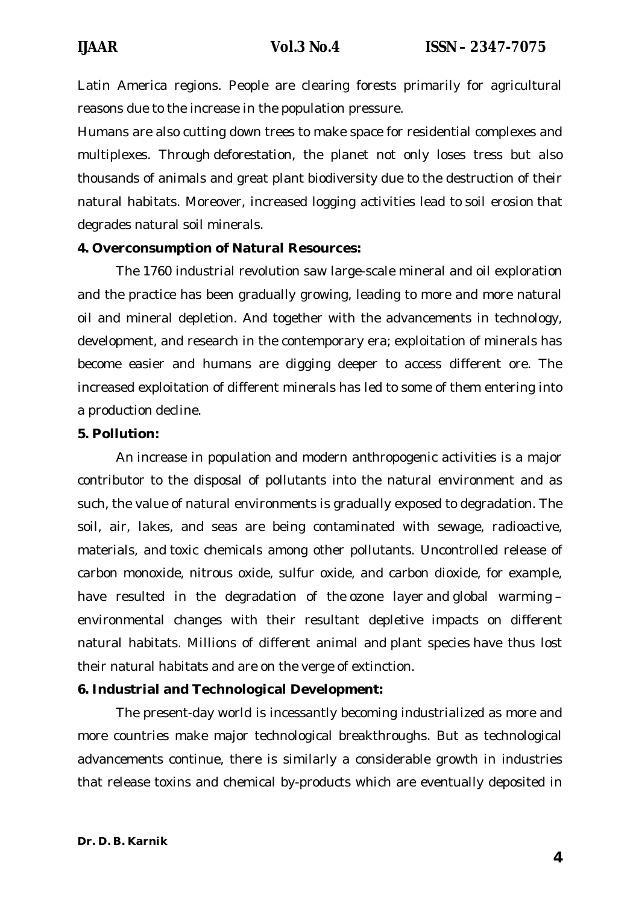Latin America regions. People are clearing forests primarily for agricultural reasons due to the increase in the population pressure.

Humans are also cutting down trees to make space for residential complexes and multiplexes. Through deforestation, the planet not only loses tress but also thousands of animals and great plant biodiversity due to the destruction of their natural habitats. Moreover, increased logging activities lead to soil erosion that degrades natural soil minerals.

#### **4. Overconsumption of Natural Resources:**

The 1760 industrial revolution saw large-scale mineral and oil exploration and the practice has been gradually growing, leading to more and more natural oil and mineral depletion. And together with the advancements in technology, development, and research in the contemporary era; exploitation of minerals has become easier and humans are digging deeper to access different ore. The increased exploitation of different minerals has led to some of them entering into a production decline.

#### **5. Pollution:**

An increase in population and modern anthropogenic activities is a major contributor to the disposal of pollutants into the natural environment and as such, the value of natural environments is gradually exposed to degradation. The soil, air, lakes, and seas are being contaminated with sewage, radioactive, materials, and toxic chemicals among other pollutants. Uncontrolled release of carbon monoxide, nitrous oxide, sulfur oxide, and carbon dioxide, for example, have resulted in the degradation of the ozone layer and global warming – environmental changes with their resultant depletive impacts on different natural habitats. Millions of different animal and plant species have thus lost their natural habitats and are on the verge of extinction.

### **6. Industrial and Technological Development:**

The present-day world is incessantly becoming industrialized as more and more countries make major technological breakthroughs. But as technological advancements continue, there is similarly a considerable growth in industries that release toxins and chemical by-products which are eventually deposited in